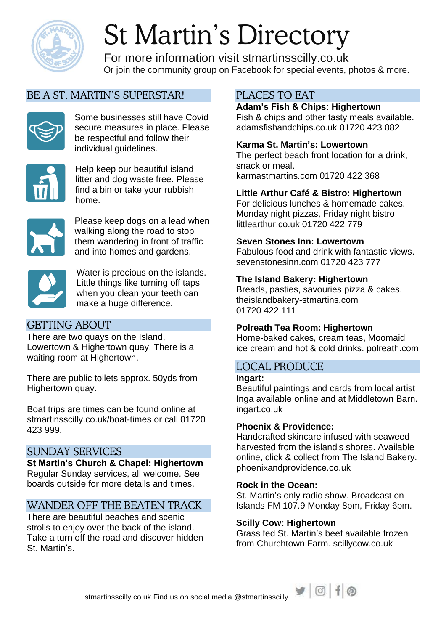

# St Martin's Directory

For more information visit stmartinsscilly.co.uk Or join the community group on Facebook for special events, photos & more.

# BE A ST. MARTIN'S SUPERSTAR!



Some businesses still have Covid secure measures in place. Please be respectful and follow their individual guidelines.



Help keep our beautiful island litter and dog waste free. Please find a bin or take your rubbish home.



Please keep dogs on a lead when walking along the road to stop them wandering in front of traffic and into homes and gardens.



Water is precious on the islands. Little things like turning off taps when you clean your teeth can make a huge difference.

# GETTING ABOUT

There are two quays on the Island, Lowertown & Highertown quay. There is a waiting room at Highertown.

There are public toilets approx. 50yds from Highertown quay.

Boat trips are times can be found online at stmartinsscilly.co.uk/boat-times or call 01720 423 999.

## SUNDAY SERVICES

**St Martin's Church & Chapel: Highertown** Regular Sunday services, all welcome. See boards outside for more details and times.

# WANDER OFF THE BEATEN TRACK

There are beautiful beaches and scenic strolls to enjoy over the back of the island. Take a turn off the road and discover hidden St. Martin's.

# PLACES TO EAT

**Adam's Fish & Chips: Highertown** Fish & chips and other tasty meals available. adamsfishandchips.co.uk 01720 423 082

## **Karma St. Martin's: Lowertown**

The perfect beach front location for a drink, snack or meal. karmastmartins.com 01720 422 368

#### **Little Arthur Café & Bistro: Highertown**

For delicious lunches & homemade cakes. Monday night pizzas, Friday night bistro littlearthur.co.uk 01720 422 779

#### **Seven Stones Inn: Lowertown**

Fabulous food and drink with fantastic views. sevenstonesinn.com 01720 423 777

#### **The Island Bakery: Highertown**

Breads, pasties, savouries pizza & cakes. theislandbakery-stmartins.com 01720 422 111

#### **Polreath Tea Room: Highertown**

Home-baked cakes, cream teas, Moomaid ice cream and hot & cold drinks. polreath.com

# LOCAL PRODUCE

**Ingart:**

Beautiful paintings and cards from local artist Inga available online and at Middletown Barn. ingart.co.uk

#### **Phoenix & Providence:**

Handcrafted skincare infused with seaweed harvested from the island's shores. Available online, click & collect from The Island Bakery. phoenixandprovidence.co.uk

#### **Rock in the Ocean:**

St. Martin's only radio show. Broadcast on Islands FM 107.9 Monday 8pm, Friday 6pm.

#### **Scilly Cow: Highertown**

Grass fed St. Martin's beef available frozen from Churchtown Farm. scillycow.co.uk